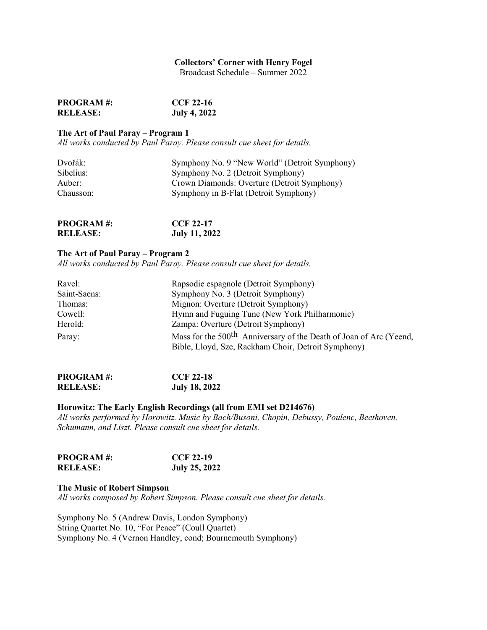### **Collectors' Corner with Henry Fogel**

Broadcast Schedule – Summer 2022

| <b>PROGRAM#:</b> | $CCF 22-16$         |
|------------------|---------------------|
| <b>RELEASE:</b>  | <b>July 4, 2022</b> |

## **The Art of Paul Paray – Program 1**

*All works conducted by Paul Paray. Please consult cue sheet for details.*

| Symphony No. 9 "New World" (Detroit Symphony) |
|-----------------------------------------------|
| Symphony No. 2 (Detroit Symphony)             |
| Crown Diamonds: Overture (Detroit Symphony)   |
| Symphony in B-Flat (Detroit Symphony)         |
|                                               |

| <b>PROGRAM#:</b> | $CCF 22-17$          |
|------------------|----------------------|
| <b>RELEASE:</b>  | <b>July 11, 2022</b> |

# **The Art of Paul Paray – Program 2**

*All works conducted by Paul Paray. Please consult cue sheet for details.*

| Ravel:       | Rapsodie espagnole (Detroit Symphony)                                                                                                 |
|--------------|---------------------------------------------------------------------------------------------------------------------------------------|
| Saint-Saens: | Symphony No. 3 (Detroit Symphony)                                                                                                     |
| Thomas:      | Mignon: Overture (Detroit Symphony)                                                                                                   |
| Cowell:      | Hymn and Fuguing Tune (New York Philharmonic)                                                                                         |
| Herold:      | Zampa: Overture (Detroit Symphony)                                                                                                    |
| Paray:       | Mass for the 500 <sup>th</sup> Anniversary of the Death of Joan of Arc (Yeend,<br>Bible, Lloyd, Sze, Rackham Choir, Detroit Symphony) |

| <b>PROGRAM#:</b> | $CCF 22-18$          |
|------------------|----------------------|
| <b>RELEASE:</b>  | <b>July 18, 2022</b> |

#### **Horowitz: The Early English Recordings (all from EMI set D214676)**

*All works performed by Horowitz. Music by Bach/Busoni, Chopin, Debussy, Poulenc, Beethoven, Schumann, and Liszt. Please consult cue sheet for details.*

| <b>PROGRAM#:</b> | $CCF 22-19$          |
|------------------|----------------------|
| <b>RELEASE:</b>  | <b>July 25, 2022</b> |

## **The Music of Robert Simpson**

*All works composed by Robert Simpson. Please consult cue sheet for details.*

Symphony No. 5 (Andrew Davis, London Symphony) String Quartet No. 10, "For Peace" (Coull Quartet) Symphony No. 4 (Vernon Handley, cond; Bournemouth Symphony)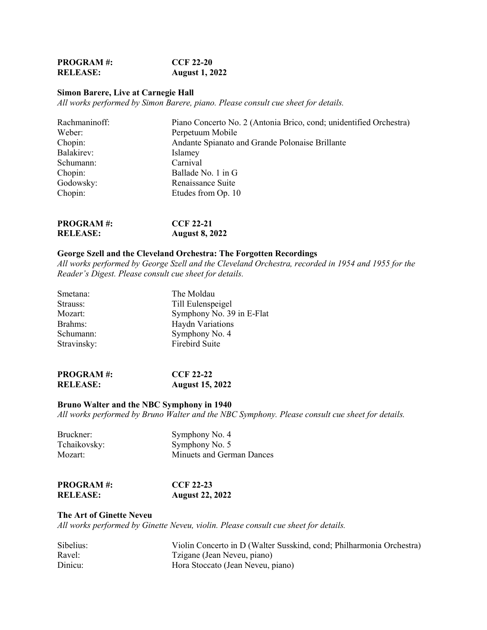| <b>PROGRAM#:</b> | $CCF 22-20$           |
|------------------|-----------------------|
| <b>RELEASE:</b>  | <b>August 1, 2022</b> |

## **Simon Barere, Live at Carnegie Hall**

*All works performed by Simon Barere, piano. Please consult cue sheet for details.*

| Piano Concerto No. 2 (Antonia Brico, cond; unidentified Orchestra) |
|--------------------------------------------------------------------|
| Perpetuum Mobile                                                   |
| Andante Spianato and Grande Polonaise Brillante                    |
| Islamey                                                            |
| Carnival                                                           |
| Ballade No. 1 in G                                                 |
| Renaissance Suite                                                  |
| Etudes from Op. 10                                                 |
|                                                                    |

| <b>PROGRAM#:</b> | <b>CCF 22-21</b>      |
|------------------|-----------------------|
| <b>RELEASE:</b>  | <b>August 8, 2022</b> |

# **George Szell and the Cleveland Orchestra: The Forgotten Recordings**

*All works performed by George Szell and the Cleveland Orchestra, recorded in 1954 and 1955 for the Reader's Digest. Please consult cue sheet for details.*

| Smetana:    | The Moldau                |
|-------------|---------------------------|
| Strauss:    | Till Eulenspeigel         |
| Mozart:     | Symphony No. 39 in E-Flat |
| Brahms:     | Haydn Variations          |
| Schumann:   | Symphony No. 4            |
| Stravinsky: | <b>Firebird Suite</b>     |

| <b>PROGRAM#:</b> | $CCF 22-22$            |
|------------------|------------------------|
| <b>RELEASE:</b>  | <b>August 15, 2022</b> |

#### **Bruno Walter and the NBC Symphony in 1940**

*All works performed by Bruno Walter and the NBC Symphony. Please consult cue sheet for details.*

| Bruckner:    | Symphony No. 4            |
|--------------|---------------------------|
| Tchaikovsky: | Symphony No. 5            |
| Mozart:      | Minuets and German Dances |

| <b>PROGRAM#:</b> | $CCF 22-23$            |
|------------------|------------------------|
| <b>RELEASE:</b>  | <b>August 22, 2022</b> |

#### **The Art of Ginette Neveu**

*All works performed by Ginette Neveu, violin. Please consult cue sheet for details.*

| Sibelius: | Violin Concerto in D (Walter Susskind, cond; Philharmonia Orchestra) |
|-----------|----------------------------------------------------------------------|
| Ravel:    | Tzigane (Jean Neveu, piano)                                          |
| Dinicu:   | Hora Stoccato (Jean Neveu, piano)                                    |